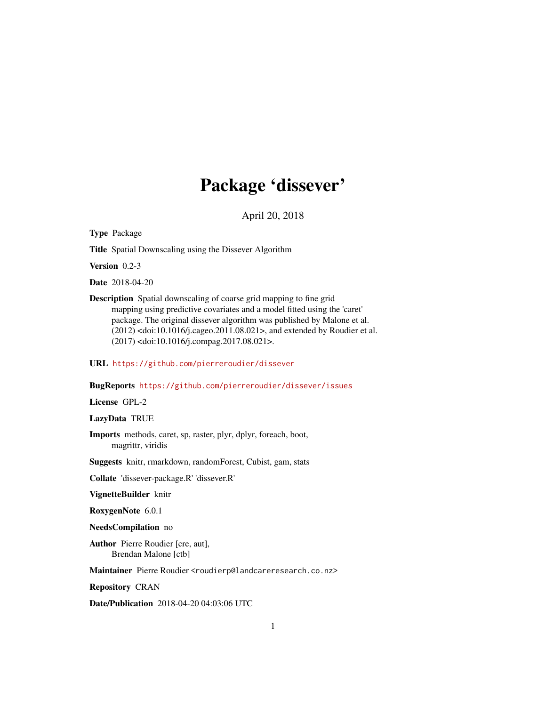# Package 'dissever'

April 20, 2018

Type Package

Title Spatial Downscaling using the Dissever Algorithm

Version 0.2-3

Date 2018-04-20

Description Spatial downscaling of coarse grid mapping to fine grid mapping using predictive covariates and a model fitted using the 'caret' package. The original dissever algorithm was published by Malone et al. (2012) <doi:10.1016/j.cageo.2011.08.021>, and extended by Roudier et al. (2017) <doi:10.1016/j.compag.2017.08.021>.

URL <https://github.com/pierreroudier/dissever>

BugReports <https://github.com/pierreroudier/dissever/issues>

License GPL-2

LazyData TRUE

Imports methods, caret, sp, raster, plyr, dplyr, foreach, boot, magrittr, viridis

Suggests knitr, rmarkdown, randomForest, Cubist, gam, stats

Collate 'dissever-package.R' 'dissever.R'

VignetteBuilder knitr

RoxygenNote 6.0.1

NeedsCompilation no

Author Pierre Roudier [cre, aut], Brendan Malone [ctb]

Maintainer Pierre Roudier <roudierp@landcareresearch.co.nz>

Repository CRAN

Date/Publication 2018-04-20 04:03:06 UTC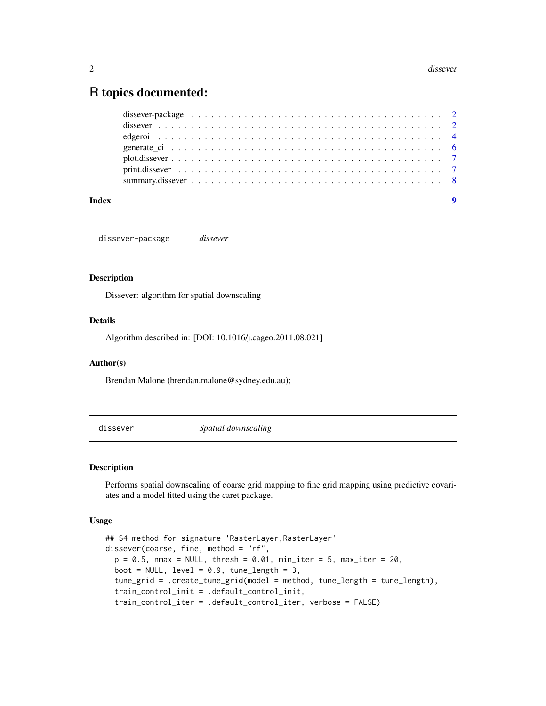# <span id="page-1-0"></span>R topics documented:

| dissever-package $\ldots \ldots \ldots \ldots \ldots \ldots \ldots \ldots \ldots \ldots \ldots \ldots \ldots$ |  |  |  |  |  |  |  |  |  |  |  |  |  |  |  |  |
|---------------------------------------------------------------------------------------------------------------|--|--|--|--|--|--|--|--|--|--|--|--|--|--|--|--|
|                                                                                                               |  |  |  |  |  |  |  |  |  |  |  |  |  |  |  |  |
|                                                                                                               |  |  |  |  |  |  |  |  |  |  |  |  |  |  |  |  |
|                                                                                                               |  |  |  |  |  |  |  |  |  |  |  |  |  |  |  |  |
|                                                                                                               |  |  |  |  |  |  |  |  |  |  |  |  |  |  |  |  |
|                                                                                                               |  |  |  |  |  |  |  |  |  |  |  |  |  |  |  |  |
|                                                                                                               |  |  |  |  |  |  |  |  |  |  |  |  |  |  |  |  |

dissever-package *dissever*

#### Description

Dissever: algorithm for spatial downscaling

#### Details

Algorithm described in: [DOI: 10.1016/j.cageo.2011.08.021]

### Author(s)

Brendan Malone (brendan.malone@sydney.edu.au);

dissever *Spatial downscaling*

#### Description

Performs spatial downscaling of coarse grid mapping to fine grid mapping using predictive covariates and a model fitted using the caret package.

#### Usage

```
## S4 method for signature 'RasterLayer,RasterLayer'
dissever(coarse, fine, method = "rf",
 p = 0.5, nmax = NULL, thresh = 0.01, min_iter = 5, max_iter = 20,
 boot = NULL, level = 0.9, tune_length = 3,
  tune_grid = .create_tune_grid(model = method, tune_length = tune_length),
  train_control_init = .default_control_init,
  train_control_iter = .default_control_iter, verbose = FALSE)
```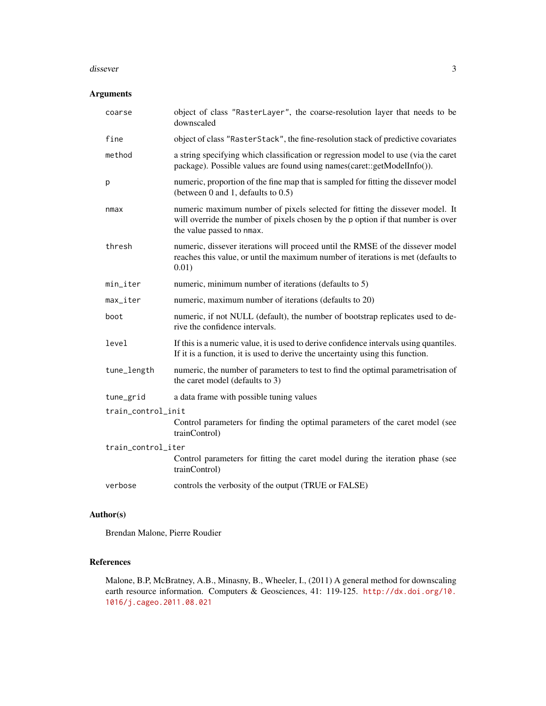#### dissever 3

# Arguments

| coarse                 | object of class "RasterLayer", the coarse-resolution layer that needs to be<br>downscaled                                                                                                     |
|------------------------|-----------------------------------------------------------------------------------------------------------------------------------------------------------------------------------------------|
| fine                   | object of class "RasterStack", the fine-resolution stack of predictive covariates                                                                                                             |
| method                 | a string specifying which classification or regression model to use (via the caret<br>package). Possible values are found using names(caret::getModelInfo()).                                 |
| p                      | numeric, proportion of the fine map that is sampled for fitting the dissever model<br>(between $0$ and $1$ , defaults to $0.5$ )                                                              |
| nmax                   | numeric maximum number of pixels selected for fitting the dissever model. It<br>will override the number of pixels chosen by the p option if that number is over<br>the value passed to nmax. |
| thresh                 | numeric, dissever iterations will proceed until the RMSE of the dissever model<br>reaches this value, or until the maximum number of iterations is met (defaults to<br>0.01)                  |
| min_iter               | numeric, minimum number of iterations (defaults to 5)                                                                                                                                         |
| $max$ <sub>_iter</sub> | numeric, maximum number of iterations (defaults to 20)                                                                                                                                        |
| boot                   | numeric, if not NULL (default), the number of bootstrap replicates used to de-<br>rive the confidence intervals.                                                                              |
| level                  | If this is a numeric value, it is used to derive confidence intervals using quantiles.<br>If it is a function, it is used to derive the uncertainty using this function.                      |
| tune_length            | numeric, the number of parameters to test to find the optimal parametrisation of<br>the caret model (defaults to 3)                                                                           |
| tune_grid              | a data frame with possible tuning values                                                                                                                                                      |
| train_control_init     |                                                                                                                                                                                               |
|                        | Control parameters for finding the optimal parameters of the caret model (see<br>trainControl)                                                                                                |
| train_control_iter     |                                                                                                                                                                                               |
|                        | Control parameters for fitting the caret model during the iteration phase (see<br>trainControl)                                                                                               |
| verbose                | controls the verbosity of the output (TRUE or FALSE)                                                                                                                                          |

# Author(s)

Brendan Malone, Pierre Roudier

# References

Malone, B.P, McBratney, A.B., Minasny, B., Wheeler, I., (2011) A general method for downscaling earth resource information. Computers & Geosciences, 41: 119-125. [http://dx.doi.org/10.](http://dx.doi.org/10.1016/j.cageo.2011.08.021) [1016/j.cageo.2011.08.021](http://dx.doi.org/10.1016/j.cageo.2011.08.021)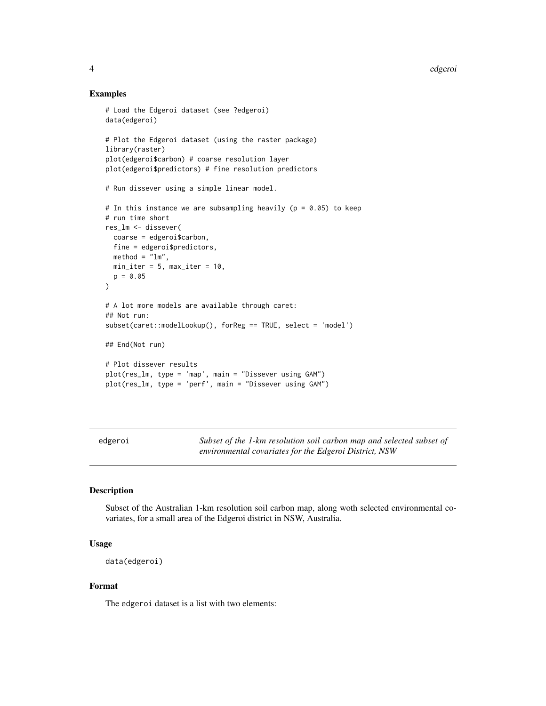4 edge of the control of the control of the control of the control of the control of the control of the control of the control of the control of the control of the control of the control of the control of the control of th

#### Examples

```
# Load the Edgeroi dataset (see ?edgeroi)
data(edgeroi)
# Plot the Edgeroi dataset (using the raster package)
library(raster)
plot(edgeroi$carbon) # coarse resolution layer
plot(edgeroi$predictors) # fine resolution predictors
# Run dissever using a simple linear model.
# In this instance we are subsampling heavily (p = 0.05) to keep
# run time short
res_lm <- dissever(
 coarse = edgeroi$carbon,
 fine = edgeroi$predictors,
 method = "lm",min\_iter = 5, max\_iter = 10,
 p = 0.05)
# A lot more models are available through caret:
## Not run:
subset(caret::modelLookup(), forReg == TRUE, select = 'model')
## End(Not run)
# Plot dissever results
plot(res_lm, type = 'map', main = "Dissever using GAM")
plot(res_lm, type = 'perf', main = "Dissever using GAM")
```
edgeroi *Subset of the 1-km resolution soil carbon map and selected subset of environmental covariates for the Edgeroi District, NSW*

# Description

Subset of the Australian 1-km resolution soil carbon map, along woth selected environmental covariates, for a small area of the Edgeroi district in NSW, Australia.

#### Usage

```
data(edgeroi)
```
#### Format

The edgeroi dataset is a list with two elements:

<span id="page-3-0"></span>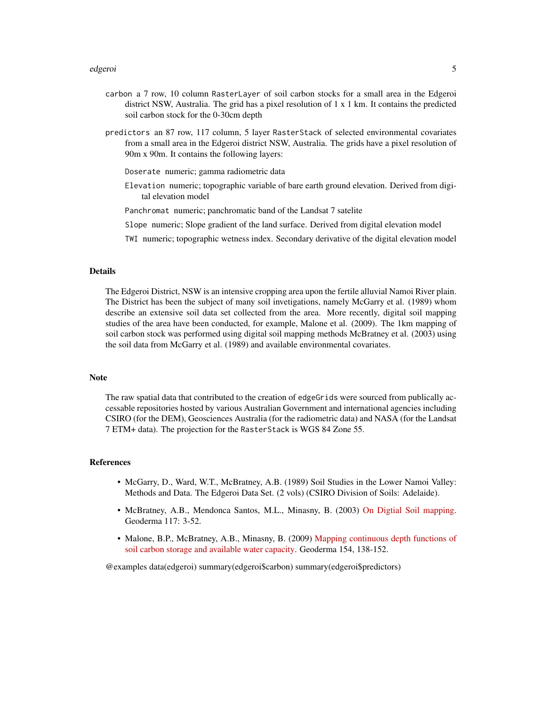- carbon a 7 row, 10 column RasterLayer of soil carbon stocks for a small area in the Edgeroi district NSW, Australia. The grid has a pixel resolution of 1 x 1 km. It contains the predicted soil carbon stock for the 0-30cm depth
- predictors an 87 row, 117 column, 5 layer RasterStack of selected environmental covariates from a small area in the Edgeroi district NSW, Australia. The grids have a pixel resolution of 90m x 90m. It contains the following layers:
	- Doserate numeric; gamma radiometric data
	- Elevation numeric; topographic variable of bare earth ground elevation. Derived from digital elevation model
	- Panchromat numeric; panchromatic band of the Landsat 7 satelite
	- Slope numeric; Slope gradient of the land surface. Derived from digital elevation model
	- TWI numeric; topographic wetness index. Secondary derivative of the digital elevation model

#### Details

The Edgeroi District, NSW is an intensive cropping area upon the fertile alluvial Namoi River plain. The District has been the subject of many soil invetigations, namely McGarry et al. (1989) whom describe an extensive soil data set collected from the area. More recently, digital soil mapping studies of the area have been conducted, for example, Malone et al. (2009). The 1km mapping of soil carbon stock was performed using digital soil mapping methods McBratney et al. (2003) using the soil data from McGarry et al. (1989) and available environmental covariates.

#### **Note**

The raw spatial data that contributed to the creation of edgeGrids were sourced from publically accessable repositories hosted by various Australian Government and international agencies including CSIRO (for the DEM), Geosciences Australia (for the radiometric data) and NASA (for the Landsat 7 ETM+ data). The projection for the RasterStack is WGS 84 Zone 55.

#### References

- McGarry, D., Ward, W.T., McBratney, A.B. (1989) Soil Studies in the Lower Namoi Valley: Methods and Data. The Edgeroi Data Set. (2 vols) (CSIRO Division of Soils: Adelaide).
- McBratney, A.B., Mendonca Santos, M.L., Minasny, B. (2003) [On Digtial Soil mapping.](http://dx.doi.org/10.1016/S0016-7061(03)00223-4) Geoderma 117: 3-52.
- Malone, B.P., McBratney, A.B., Minasny, B. (2009) [Mapping continuous depth functions of](http://dx.doi.org/10.1016/j.geoderma.2009.10.007) [soil carbon storage and available water capacity.](http://dx.doi.org/10.1016/j.geoderma.2009.10.007) Geoderma 154, 138-152.

@examples data(edgeroi) summary(edgeroi\$carbon) summary(edgeroi\$predictors)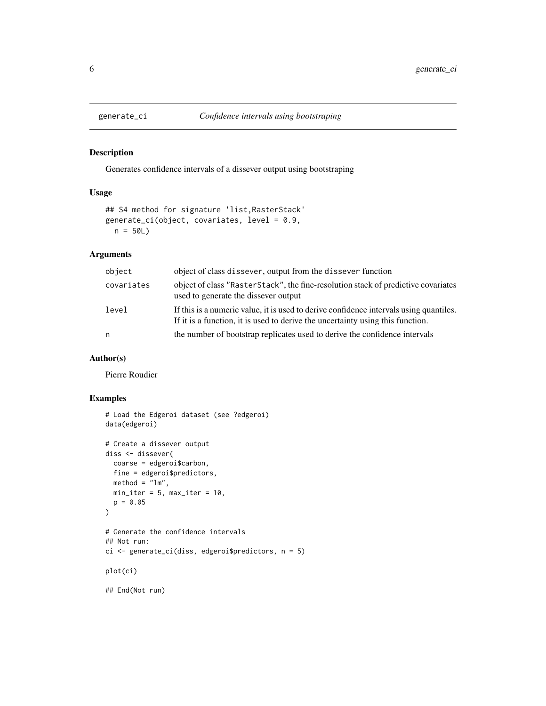<span id="page-5-0"></span>

#### Description

Generates confidence intervals of a dissever output using bootstraping

#### Usage

```
## S4 method for signature 'list,RasterStack'
generate_ci(object, covariates, level = 0.9,
 n = 50L
```
# Arguments

| object     | object of class dissever, output from the dissever function                                                                                                              |
|------------|--------------------------------------------------------------------------------------------------------------------------------------------------------------------------|
| covariates | object of class "RasterStack", the fine-resolution stack of predictive covariates<br>used to generate the dissever output                                                |
| level      | If this is a numeric value, it is used to derive confidence intervals using quantiles.<br>If it is a function, it is used to derive the uncertainty using this function. |
| n          | the number of bootstrap replicates used to derive the confidence intervals                                                                                               |

# Author(s)

Pierre Roudier

# Examples

```
# Load the Edgeroi dataset (see ?edgeroi)
data(edgeroi)
# Create a dissever output
diss <- dissever(
 coarse = edgeroi$carbon,
 fine = edgeroi$predictors,
 method = "lm",min\_iter = 5, max\_iter = 10,
  p = 0.05)
# Generate the confidence intervals
## Not run:
ci <- generate_ci(diss, edgeroi$predictors, n = 5)
plot(ci)
## End(Not run)
```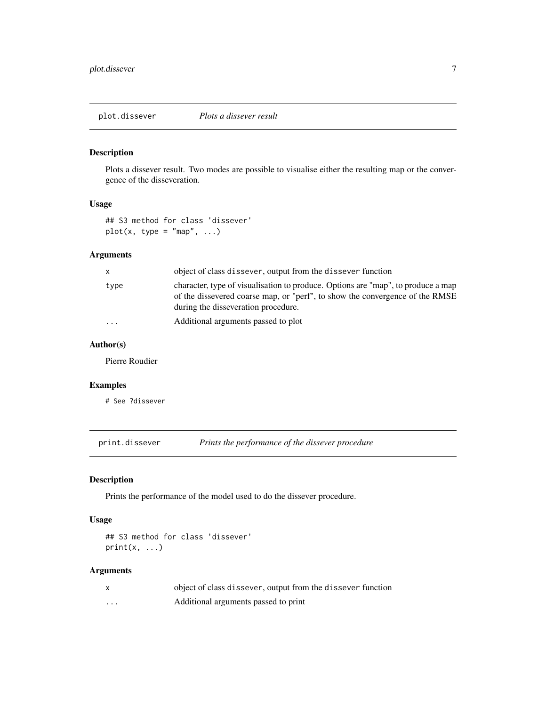<span id="page-6-0"></span>plot.dissever *Plots a dissever result*

# Description

Plots a dissever result. Two modes are possible to visualise either the resulting map or the convergence of the disseveration.

# Usage

## S3 method for class 'dissever'  $plot(x, type = "map", ...)$ 

# Arguments

| $\mathsf{x}$            | object of class dissever, output from the dissever function                                                                                                                                             |
|-------------------------|---------------------------------------------------------------------------------------------------------------------------------------------------------------------------------------------------------|
| type                    | character, type of visualisation to produce. Options are "map", to produce a map<br>of the dissevered coarse map, or "perf", to show the convergence of the RMSE<br>during the disseveration procedure. |
| $\cdot$ $\cdot$ $\cdot$ | Additional arguments passed to plot                                                                                                                                                                     |

# Author(s)

Pierre Roudier

#### Examples

# See ?dissever

print.dissever *Prints the performance of the dissever procedure*

# Description

Prints the performance of the model used to do the dissever procedure.

#### Usage

```
## S3 method for class 'dissever'
print(x, \ldots)
```
#### Arguments

|   | object of class dissever, output from the dissever function |
|---|-------------------------------------------------------------|
| . | Additional arguments passed to print                        |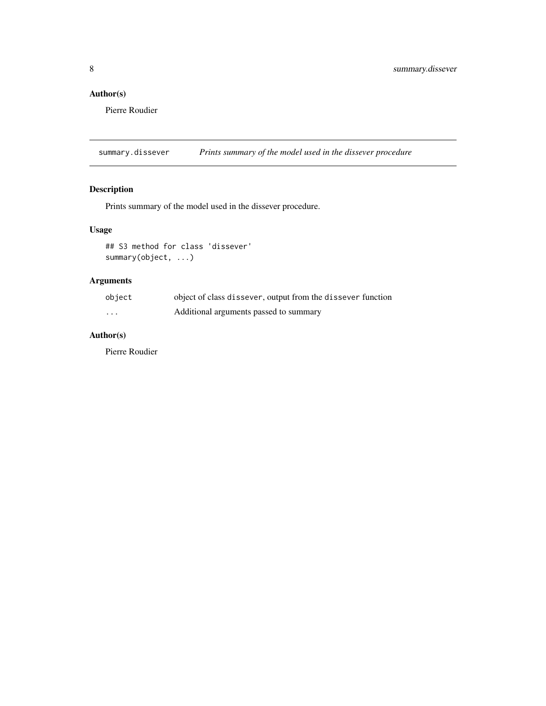# <span id="page-7-0"></span>Author(s)

Pierre Roudier

summary.dissever *Prints summary of the model used in the dissever procedure*

# Description

Prints summary of the model used in the dissever procedure.

# Usage

## S3 method for class 'dissever' summary(object, ...)

# Arguments

| object   | object of class dissever, output from the dissever function |
|----------|-------------------------------------------------------------|
| $\cdots$ | Additional arguments passed to summary                      |

# Author(s)

Pierre Roudier